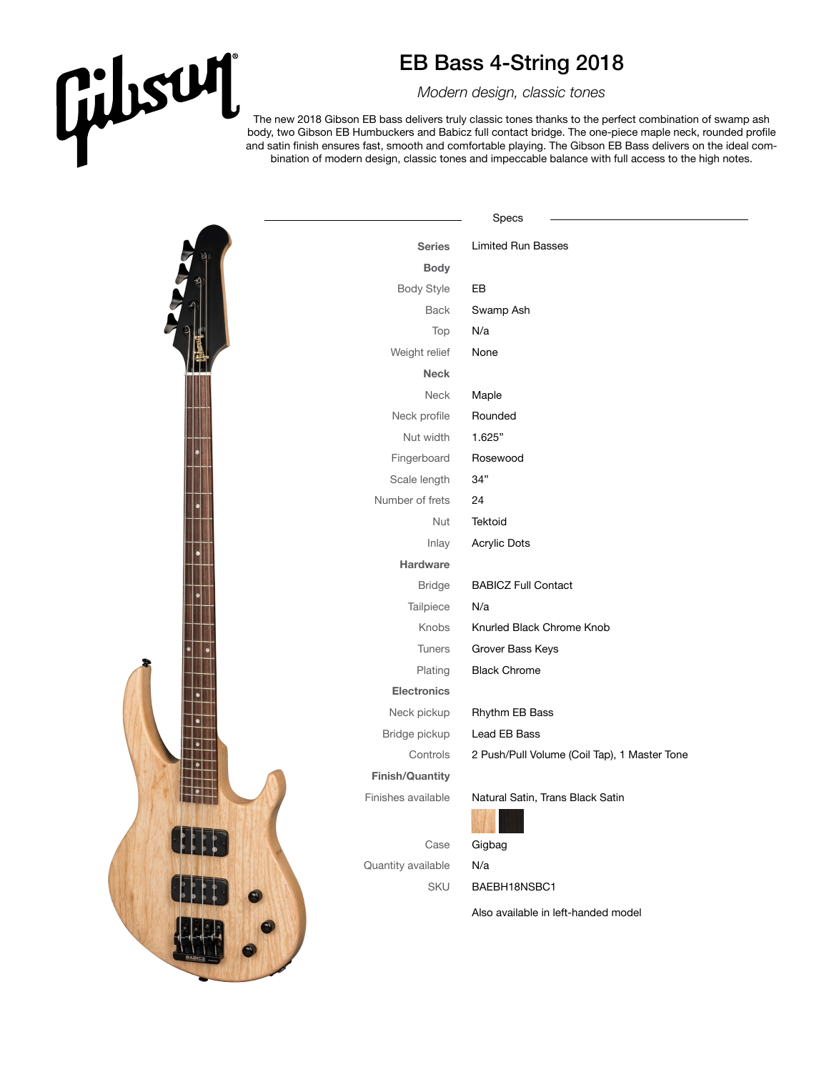## Gilisuri

## EB Bass 4-String 2018

*Modern design, classic tones*

The new 2018 Gibson EB bass delivers truly classic tones thanks to the perfect combination of swamp ash body, two Gibson EB Humbuckers and Babicz full contact bridge. The one-piece maple neck, rounded profile and satin finish ensures fast, smooth and comfortable playing. The Gibson EB Bass delivers on the ideal combination of modern design, classic tones and impeccable balance with full access to the high notes.